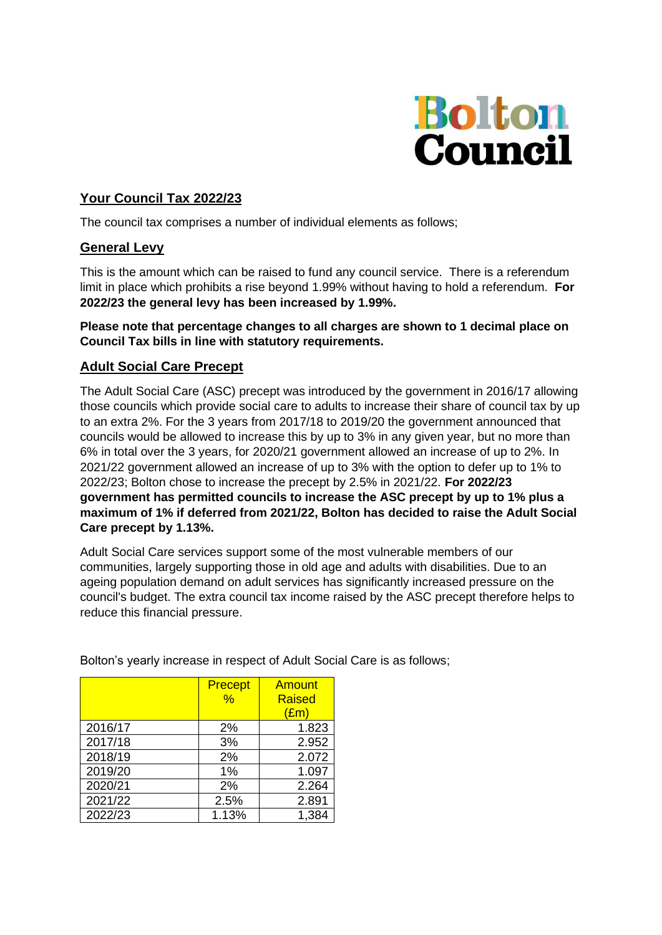

# **Your Council Tax 2022/23**

The council tax comprises a number of individual elements as follows;

#### **General Levy**

This is the amount which can be raised to fund any council service. There is a referendum limit in place which prohibits a rise beyond 1.99% without having to hold a referendum. **For 2022/23 the general levy has been increased by 1.99%.**

#### **Please note that percentage changes to all charges are shown to 1 decimal place on Council Tax bills in line with statutory requirements.**

### **Adult Social Care Precept**

The Adult Social Care (ASC) precept was introduced by the government in 2016/17 allowing those councils which provide social care to adults to increase their share of council tax by up to an extra 2%. For the 3 years from 2017/18 to 2019/20 the government announced that councils would be allowed to increase this by up to 3% in any given year, but no more than 6% in total over the 3 years, for 2020/21 government allowed an increase of up to 2%. In 2021/22 government allowed an increase of up to 3% with the option to defer up to 1% to 2022/23; Bolton chose to increase the precept by 2.5% in 2021/22. **For 2022/23 government has permitted councils to increase the ASC precept by up to 1% plus a maximum of 1% if deferred from 2021/22, Bolton has decided to raise the Adult Social Care precept by 1.13%.**

Adult Social Care services support some of the most vulnerable members of our communities, largely supporting those in old age and adults with disabilities. Due to an ageing population demand on adult services has significantly increased pressure on the council's budget. The extra council tax income raised by the ASC precept therefore helps to reduce this financial pressure.

|         | <b>Precept</b><br>$\%$ | <b>Amount</b><br><b>Raised</b><br>$(\text{Em})$ |
|---------|------------------------|-------------------------------------------------|
| 2016/17 | 2%                     | 1.823                                           |
| 2017/18 | 3%                     | 2.952                                           |
| 2018/19 | 2%                     | 2.072                                           |
| 2019/20 | 1%                     | 1.097                                           |
| 2020/21 | 2%                     | 2.264                                           |
| 2021/22 | 2.5%                   | 2.891                                           |
| 2022/23 | 1.13%                  | 1,384                                           |

Bolton's yearly increase in respect of Adult Social Care is as follows;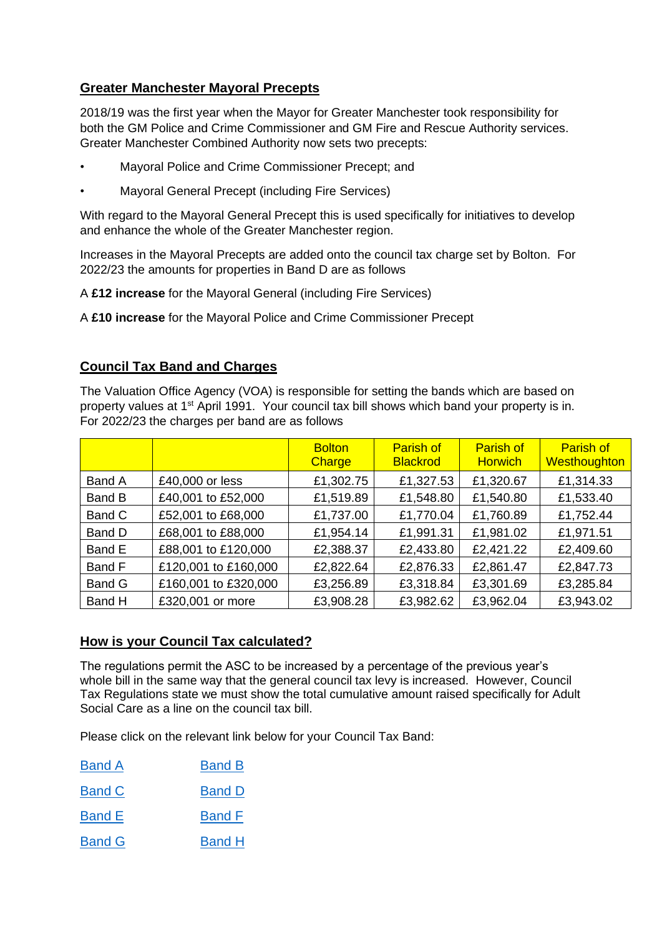# **Greater Manchester Mayoral Precepts**

2018/19 was the first year when the Mayor for Greater Manchester took responsibility for both the GM Police and Crime Commissioner and GM Fire and Rescue Authority services. Greater Manchester Combined Authority now sets two precepts:

- Mayoral Police and Crime Commissioner Precept; and
- Mayoral General Precept (including Fire Services)

With regard to the Mayoral General Precept this is used specifically for initiatives to develop and enhance the whole of the Greater Manchester region.

Increases in the Mayoral Precepts are added onto the council tax charge set by Bolton. For 2022/23 the amounts for properties in Band D are as follows

A **£12 increase** for the Mayoral General (including Fire Services)

A **£10 increase** for the Mayoral Police and Crime Commissioner Precept

### **Council Tax Band and Charges**

The Valuation Office Agency (VOA) is responsible for setting the bands which are based on property values at 1st April 1991. Your council tax bill shows which band your property is in. For 2022/23 the charges per band are as follows

|               |                      | <b>Bolton</b><br>Charge | <b>Parish of</b><br><b>Blackrod</b> | <b>Parish of</b><br><b>Horwich</b> | <b>Parish of</b><br>Westhoughton |
|---------------|----------------------|-------------------------|-------------------------------------|------------------------------------|----------------------------------|
| Band A        | £40,000 or less      | £1,302.75               | £1,327.53                           | £1,320.67                          | £1,314.33                        |
| Band B        | £40,001 to £52,000   | £1,519.89               | £1,548.80                           | £1,540.80                          | £1,533.40                        |
| Band C        | £52,001 to £68,000   | £1,737.00               | £1,770.04                           | £1,760.89                          | £1,752.44                        |
| Band D        | £68,001 to £88,000   | £1,954.14               | £1,991.31                           | £1,981.02                          | £1,971.51                        |
| Band E        | £88,001 to £120,000  | £2,388.37               | £2,433.80                           | £2,421.22                          | £2,409.60                        |
| Band F        | £120,001 to £160,000 | £2,822.64               | £2,876.33                           | £2,861.47                          | £2,847.73                        |
| <b>Band G</b> | £160,001 to £320,000 | £3,256.89               | £3,318.84                           | £3,301.69                          | £3,285.84                        |
| Band H        | £320,001 or more     | £3,908.28               | £3,982.62                           | £3,962.04                          | £3,943.02                        |

#### **How is your Council Tax calculated?**

The regulations permit the ASC to be increased by a percentage of the previous year's whole bill in the same way that the general council tax levy is increased. However, Council Tax Regulations state we must show the total cumulative amount raised specifically for Adult Social Care as a line on the council tax bill.

Please click on the relevant link below for your Council Tax Band:

| <b>Band A</b> | <b>Band B</b> |
|---------------|---------------|
|               |               |

[Band C](https://www.bolton.gov.uk/downloads/file/1944/council-tax-bill-band-c-2022-23) [Band D](https://www.bolton.gov.uk/downloads/file/1945/council-tax-bill-band-d-2022-23)

- [Band E](https://www.bolton.gov.uk/downloads/file/1946/council-tax-bill-band-e-2022-23) [Band F](https://www.bolton.gov.uk/downloads/file/1947/council-tax-bill-band-f-2022-23)
- [Band G](https://www.bolton.gov.uk/downloads/file/1948/council-tax-bill-band-g-2022-23) [Band H](https://www.bolton.gov.uk/downloads/file/1949/council-tax-bill-band-h-2022-23)